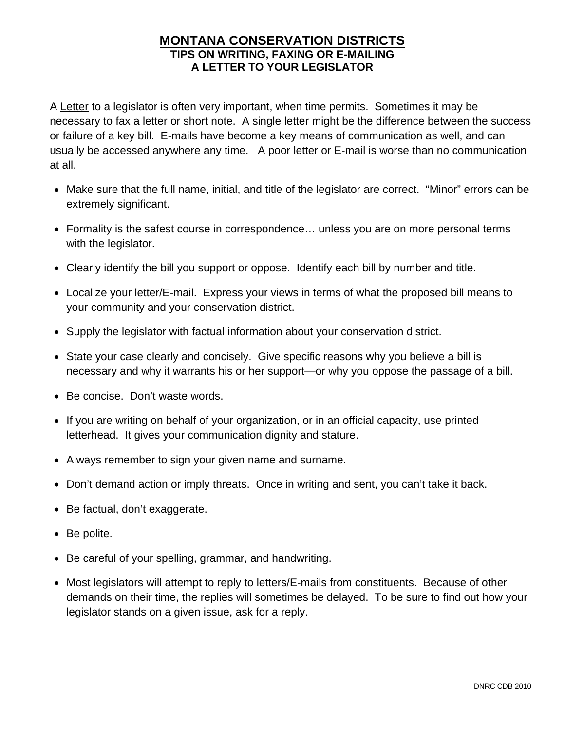# **MONTANA CONSERVATION DISTRICTS TIPS ON WRITING, FAXING OR E-MAILING A LETTER TO YOUR LEGISLATOR**

A Letter to a legislator is often very important, when time permits. Sometimes it may be necessary to fax a letter or short note. A single letter might be the difference between the success or failure of a key bill. E-mails have become a key means of communication as well, and can usually be accessed anywhere any time. A poor letter or E-mail is worse than no communication at all.

- Make sure that the full name, initial, and title of the legislator are correct. "Minor" errors can be extremely significant.
- Formality is the safest course in correspondence… unless you are on more personal terms with the legislator.
- Clearly identify the bill you support or oppose. Identify each bill by number and title.
- Localize your letter/E-mail. Express your views in terms of what the proposed bill means to your community and your conservation district.
- Supply the legislator with factual information about your conservation district.
- State your case clearly and concisely. Give specific reasons why you believe a bill is necessary and why it warrants his or her support—or why you oppose the passage of a bill.
- Be concise. Don't waste words.
- If you are writing on behalf of your organization, or in an official capacity, use printed letterhead. It gives your communication dignity and stature.
- Always remember to sign your given name and surname.
- Don't demand action or imply threats. Once in writing and sent, you can't take it back.
- Be factual, don't exaggerate.
- Be polite.
- Be careful of your spelling, grammar, and handwriting.
- Most legislators will attempt to reply to letters/E-mails from constituents. Because of other demands on their time, the replies will sometimes be delayed. To be sure to find out how your legislator stands on a given issue, ask for a reply.